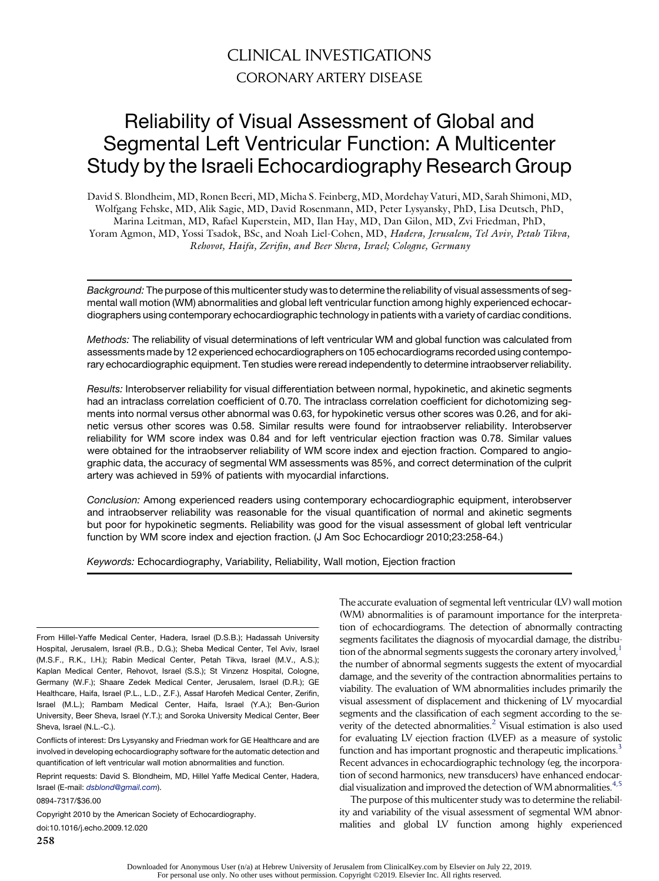## CLINICAL INVESTIGATIONS CORONARY ARTERY DISEASE

# Reliability of Visual Assessment of Global and Segmental Left Ventricular Function: A Multicenter Study by the Israeli Echocardiography Research Group

David S. Blondheim, MD, Ronen Beeri, MD, Micha S. Feinberg, MD, Mordehay Vaturi, MD, Sarah Shimoni, MD, Wolfgang Fehske, MD, Alik Sagie, MD, David Rosenmann, MD, Peter Lysyansky, PhD, Lisa Deutsch, PhD, Marina Leitman, MD, Rafael Kuperstein, MD, Ilan Hay, MD, Dan Gilon, MD, Zvi Friedman, PhD, Yoram Agmon, MD, Yossi Tsadok, BSc, and Noah Liel-Cohen, MD, Hadera, Jerusalem, Tel Aviv, Petah Tikva, Rehovot, Haifa, Zerifin, and Beer Sheva, Israel; Cologne, Germany

*Background:* The purpose of this multicenter study was to determine the reliability of visual assessments of segmental wall motion (WM) abnormalities and global left ventricular function among highly experienced echocardiographers using contemporary echocardiographic technology in patients with a variety of cardiac conditions.

*Methods:* The reliability of visual determinations of left ventricular WM and global function was calculated from assessments made by 12 experienced echocardiographers on 105 echocardiograms recorded using contemporary echocardiographic equipment. Ten studies were reread independently to determine intraobserver reliability.

*Results:* Interobserver reliability for visual differentiation between normal, hypokinetic, and akinetic segments had an intraclass correlation coefficient of 0.70. The intraclass correlation coefficient for dichotomizing segments into normal versus other abnormal was 0.63, for hypokinetic versus other scores was 0.26, and for akinetic versus other scores was 0.58. Similar results were found for intraobserver reliability. Interobserver reliability for WM score index was 0.84 and for left ventricular ejection fraction was 0.78. Similar values were obtained for the intraobserver reliability of WM score index and ejection fraction. Compared to angiographic data, the accuracy of segmental WM assessments was 85%, and correct determination of the culprit artery was achieved in 59% of patients with myocardial infarctions.

*Conclusion:* Among experienced readers using contemporary echocardiographic equipment, interobserver and intraobserver reliability was reasonable for the visual quantification of normal and akinetic segments but poor for hypokinetic segments. Reliability was good for the visual assessment of global left ventricular function by WM score index and ejection fraction. (J Am Soc Echocardiogr 2010;23:258-64.)

*Keywords:* Echocardiography, Variability, Reliability, Wall motion, Ejection fraction

From Hillel-Yaffe Medical Center, Hadera, Israel (D.S.B.); Hadassah University Hospital, Jerusalem, Israel (R.B., D.G.); Sheba Medical Center, Tel Aviv, Israel (M.S.F., R.K., I.H.); Rabin Medical Center, Petah Tikva, Israel (M.V., A.S.); Kaplan Medical Center, Rehovot, Israel (S.S.); St Vinzenz Hospital, Cologne, Germany (W.F.); Shaare Zedek Medical Center, Jerusalem, Israel (D.R.); GE Healthcare, Haifa, Israel (P.L., L.D., Z.F.), Assaf Harofeh Medical Center, Zerifin, Israel (M.L.); Rambam Medical Center, Haifa, Israel (Y.A.); Ben-Gurion University, Beer Sheva, Israel (Y.T.); and Soroka University Medical Center, Beer Sheva, Israel (N.L.-C.).

Reprint requests: David S. Blondheim, MD, Hillel Yaffe Medical Center, Hadera, Israel (E-mail: *[dsblond@gmail.com](mailto:dsblond@gmail.com)*).

0894-7317/\$36.00

Copyright 2010 by the American Society of Echocardiography. doi:10.1016/j.echo.2009.12.020 258

The accurate evaluation of segmental left ventricular (LV) wall motion (WM) abnormalities is of paramount importance for the interpretation of echocardiograms. The detection of abnormally contracting segments facilitates the diagnosis of myocardial damage, the distribution of the abnormal segments suggests the coronary artery involved, the number of abnormal segments suggests the extent of myocardial damage, and the severity of the contraction abnormalities pertains to viability. The evaluation of WM abnormalities includes primarily the visual assessment of displacement and thickening of LV myocardial segments and the classification of each segment according to the se-verity of the detected abnormalities.<sup>[2](#page-6-0)</sup> Visual estimation is also used for evaluating LV ejection fraction (LVEF) as a measure of systolic function and has important prognostic and therapeutic implications.<sup>[3](#page-6-0)</sup> Recent advances in echocardiographic technology (eg, the incorporation of second harmonics, new transducers) have enhanced endocar-dial visualization and improved the detection of WM abnormalities.<sup>[4,5](#page-6-0)</sup>

The purpose of this multicenter study was to determine the reliability and variability of the visual assessment of segmental WM abnormalities and global LV function among highly experienced

Conflicts of interest: Drs Lysyansky and Friedman work for GE Healthcare and are involved in developing echocardiography software for the automatic detection and quantification of left ventricular wall motion abnormalities and function.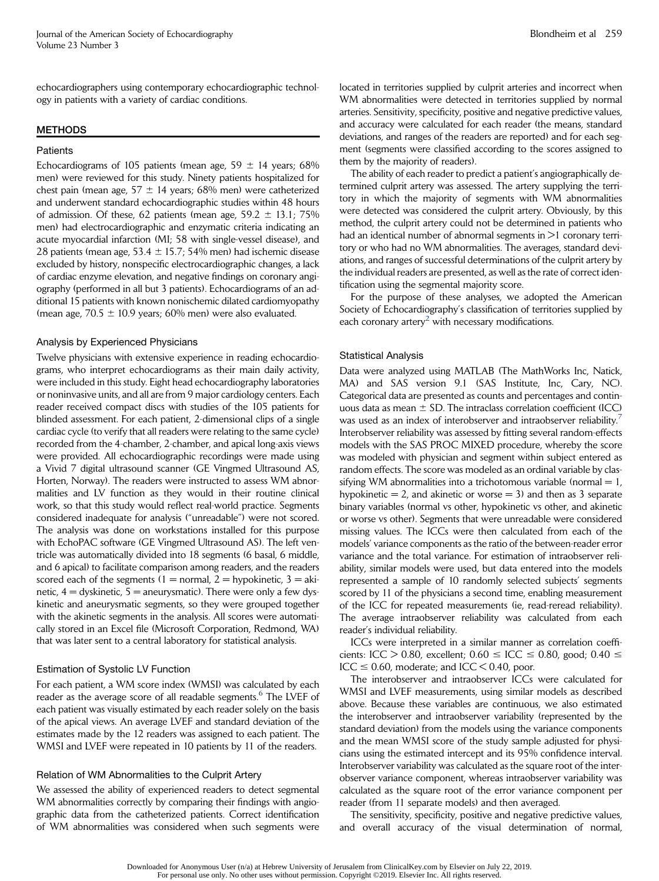echocardiographers using contemporary echocardiographic technology in patients with a variety of cardiac conditions.

## METHODS

## **Patients**

Echocardiograms of 105 patients (mean age,  $59 \pm 14$  years; 68% men) were reviewed for this study. Ninety patients hospitalized for chest pain (mean age,  $57 \pm 14$  years; 68% men) were catheterized and underwent standard echocardiographic studies within 48 hours of admission. Of these, 62 patients (mean age,  $59.2 \pm 13.1$ ;  $75\%$ men) had electrocardiographic and enzymatic criteria indicating an acute myocardial infarction (MI; 58 with single-vessel disease), and 28 patients (mean age,  $53.4 \pm 15.7$ ; 54% men) had ischemic disease excluded by history, nonspecific electrocardiographic changes, a lack of cardiac enzyme elevation, and negative findings on coronary angiography (performed in all but 3 patients). Echocardiograms of an additional 15 patients with known nonischemic dilated cardiomyopathy (mean age,  $70.5 \pm 10.9$  years; 60% men) were also evaluated.

## Analysis by Experienced Physicians

Twelve physicians with extensive experience in reading echocardiograms, who interpret echocardiograms as their main daily activity, were included in this study. Eight head echocardiography laboratories or noninvasive units, and all are from 9 major cardiology centers. Each reader received compact discs with studies of the 105 patients for blinded assessment. For each patient, 2-dimensional clips of a single cardiac cycle (to verify that all readers were relating to the same cycle) recorded from the 4-chamber, 2-chamber, and apical long-axis views were provided. All echocardiographic recordings were made using a Vivid 7 digital ultrasound scanner (GE Vingmed Ultrasound AS, Horten, Norway). The readers were instructed to assess WM abnormalities and LV function as they would in their routine clinical work, so that this study would reflect real-world practice. Segments considered inadequate for analysis (''unreadable'') were not scored. The analysis was done on workstations installed for this purpose with EchoPAC software (GE Vingmed Ultrasound AS). The left ventricle was automatically divided into 18 segments (6 basal, 6 middle, and 6 apical) to facilitate comparison among readers, and the readers scored each of the segments  $(1 = normal, 2 = hypokinite, 3 = aki$ netic,  $4 =$  dyskinetic,  $5 =$  aneurysmatic). There were only a few dyskinetic and aneurysmatic segments, so they were grouped together with the akinetic segments in the analysis. All scores were automatically stored in an Excel file (Microsoft Corporation, Redmond, WA) that was later sent to a central laboratory for statistical analysis.

### Estimation of Systolic LV Function

For each patient, a WM score index (WMSI) was calculated by each reader as the average score of all readable segments.<sup>[6](#page-6-0)</sup> The LVEF of each patient was visually estimated by each reader solely on the basis of the apical views. An average LVEF and standard deviation of the estimates made by the 12 readers was assigned to each patient. The WMSI and LVEF were repeated in 10 patients by 11 of the readers.

## Relation of WM Abnormalities to the Culprit Artery

We assessed the ability of experienced readers to detect segmental WM abnormalities correctly by comparing their findings with angiographic data from the catheterized patients. Correct identification of WM abnormalities was considered when such segments were located in territories supplied by culprit arteries and incorrect when WM abnormalities were detected in territories supplied by normal arteries. Sensitivity, specificity, positive and negative predictive values, and accuracy were calculated for each reader (the means, standard deviations, and ranges of the readers are reported) and for each segment (segments were classified according to the scores assigned to them by the majority of readers).

The ability of each reader to predict a patient's angiographically determined culprit artery was assessed. The artery supplying the territory in which the majority of segments with WM abnormalities were detected was considered the culprit artery. Obviously, by this method, the culprit artery could not be determined in patients who had an identical number of abnormal segments in >1 coronary territory or who had no WM abnormalities. The averages, standard deviations, and ranges of successful determinations of the culprit artery by the individual readers are presented, as well as the rate of correct identification using the segmental majority score.

For the purpose of these analyses, we adopted the American Society of Echocardiography's classification of territories supplied by each coronary artery<sup>[2](#page-6-0)</sup> with necessary modifications.

## Statistical Analysis

Data were analyzed using MATLAB (The MathWorks Inc, Natick, MA) and SAS version 9.1 (SAS Institute, Inc, Cary, NC). Categorical data are presented as counts and percentages and continuous data as mean  $\pm$  SD. The intraclass correlation coefficient (ICC) was used as an index of interobserver and intraobserver reliability.<sup>[7](#page-6-0)</sup> Interobserver reliability was assessed by fitting several random-effects models with the SAS PROC MIXED procedure, whereby the score was modeled with physician and segment within subject entered as random effects. The score was modeled as an ordinal variable by classifying WM abnormalities into a trichotomous variable (normal  $= 1$ , hypokinetic  $= 2$ , and akinetic or worse  $= 3$ ) and then as 3 separate binary variables (normal vs other, hypokinetic vs other, and akinetic or worse vs other). Segments that were unreadable were considered missing values. The ICCs were then calculated from each of the models' variance components as the ratio of the between-reader error variance and the total variance. For estimation of intraobserver reliability, similar models were used, but data entered into the models represented a sample of 10 randomly selected subjects' segments scored by 11 of the physicians a second time, enabling measurement of the ICC for repeated measurements (ie, read-reread reliability). The average intraobserver reliability was calculated from each reader's individual reliability.

ICCs were interpreted in a similar manner as correlation coefficients: ICC > 0.80, excellent;  $0.60 \leq$  ICC  $\leq$  0.80, good; 0.40  $\leq$  $ICC \leq 0.60$ , moderate; and  $ICC < 0.40$ , poor.

The interobserver and intraobserver ICCs were calculated for WMSI and LVEF measurements, using similar models as described above. Because these variables are continuous, we also estimated the interobserver and intraobserver variability (represented by the standard deviation) from the models using the variance components and the mean WMSI score of the study sample adjusted for physicians using the estimated intercept and its 95% confidence interval. Interobserver variability was calculated as the square root of the interobserver variance component, whereas intraobserver variability was calculated as the square root of the error variance component per reader (from 11 separate models) and then averaged.

The sensitivity, specificity, positive and negative predictive values, and overall accuracy of the visual determination of normal,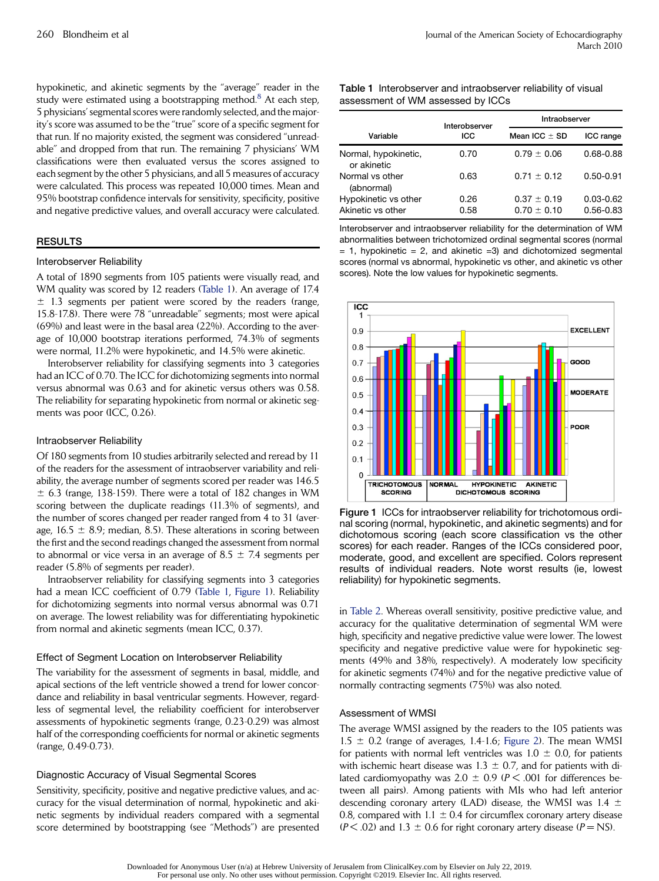hypokinetic, and akinetic segments by the "average" reader in the study were estimated using a bootstrapping method.<sup>[8](#page-6-0)</sup> At each step, 5 physicians' segmental scores were randomly selected, and the majority's score was assumed to be the ''true'' score of a specific segment for that run. If no majority existed, the segment was considered ''unreadable'' and dropped from that run. The remaining 7 physicians' WM classifications were then evaluated versus the scores assigned to each segment by the other 5 physicians, and all 5 measures of accuracy were calculated. This process was repeated 10,000 times. Mean and 95% bootstrap confidence intervals for sensitivity, specificity, positive and negative predictive values, and overall accuracy were calculated.

#### RESULTS

#### Interobserver Reliability

A total of 1890 segments from 105 patients were visually read, and WM quality was scored by 12 readers (Table 1). An average of 17.4  $\pm$  1.3 segments per patient were scored by the readers (range, 15.8-17.8). There were 78 ''unreadable'' segments; most were apical (69%) and least were in the basal area (22%). According to the average of 10,000 bootstrap iterations performed, 74.3% of segments were normal, 11.2% were hypokinetic, and 14.5% were akinetic.

Interobserver reliability for classifying segments into 3 categories had an ICC of 0.70. The ICC for dichotomizing segments into normal versus abnormal was 0.63 and for akinetic versus others was 0.58. The reliability for separating hypokinetic from normal or akinetic segments was poor (ICC, 0.26).

## Intraobserver Reliability

Of 180 segments from 10 studies arbitrarily selected and reread by 11 of the readers for the assessment of intraobserver variability and reliability, the average number of segments scored per reader was 146.5  $\pm$  6.3 (range, 138-159). There were a total of 182 changes in WM scoring between the duplicate readings (11.3% of segments), and the number of scores changed per reader ranged from 4 to 31 (average,  $16.5 \pm 8.9$ ; median, 8.5). These alterations in scoring between the first and the second readings changed the assessment from normal to abnormal or vice versa in an average of  $8.5 \pm 7.4$  segments per reader (5.8% of segments per reader).

Intraobserver reliability for classifying segments into 3 categories had a mean ICC coefficient of 0.79 (Table 1, Figure 1). Reliability for dichotomizing segments into normal versus abnormal was 0.71 on average. The lowest reliability was for differentiating hypokinetic from normal and akinetic segments (mean ICC, 0.37).

#### Effect of Segment Location on Interobserver Reliability

The variability for the assessment of segments in basal, middle, and apical sections of the left ventricle showed a trend for lower concordance and reliability in basal ventricular segments. However, regardless of segmental level, the reliability coefficient for interobserver assessments of hypokinetic segments (range, 0.23-0.29) was almost half of the corresponding coefficients for normal or akinetic segments (range, 0.49-0.73).

### Diagnostic Accuracy of Visual Segmental Scores

Sensitivity, specificity, positive and negative predictive values, and accuracy for the visual determination of normal, hypokinetic and akinetic segments by individual readers compared with a segmental score determined by bootstrapping (see ''Methods'') are presented Table 1 Interobserver and intraobserver reliability of visual assessment of WM assessed by ICCs

|                                     | Interobserver | Intraobserver     |               |  |
|-------------------------------------|---------------|-------------------|---------------|--|
| Variable                            | ICC           | Mean ICC $\pm$ SD | ICC range     |  |
| Normal, hypokinetic,<br>or akinetic | 0.70          | $0.79 \pm 0.06$   | 0.68-0.88     |  |
| Normal vs other<br>(abnormal)       | 0.63          | $0.71 \pm 0.12$   | $0.50 - 0.91$ |  |
| Hypokinetic vs other                | 0.26          | $0.37 \pm 0.19$   | $0.03 - 0.62$ |  |
| Akinetic vs other                   | 0.58          | $0.70 \pm 0.10$   | $0.56 - 0.83$ |  |

Interobserver and intraobserver reliability for the determination of WM abnormalities between trichotomized ordinal segmental scores (normal  $= 1$ , hypokinetic  $= 2$ , and akinetic  $= 3$ ) and dichotomized segmental scores (normal vs abnormal, hypokinetic vs other, and akinetic vs other scores). Note the low values for hypokinetic segments.



Figure 1 ICCs for intraobserver reliability for trichotomous ordinal scoring (normal, hypokinetic, and akinetic segments) and for dichotomous scoring (each score classification vs the other scores) for each reader. Ranges of the ICCs considered poor, moderate, good, and excellent are specified. Colors represent results of individual readers. Note worst results (ie, lowest reliability) for hypokinetic segments.

in [Table 2](#page-3-0). Whereas overall sensitivity, positive predictive value, and accuracy for the qualitative determination of segmental WM were high, specificity and negative predictive value were lower. The lowest specificity and negative predictive value were for hypokinetic segments (49% and 38%, respectively). A moderately low specificity for akinetic segments (74%) and for the negative predictive value of normally contracting segments (75%) was also noted.

#### Assessment of WMSI

The average WMSI assigned by the readers to the 105 patients was  $1.5 \pm 0.2$  (range of averages, 1.4-1.6; [Figure 2](#page-3-0)). The mean WMSI for patients with normal left ventricles was  $1.0 \pm 0.0$ , for patients with ischemic heart disease was  $1.3 \pm 0.7$ , and for patients with dilated cardiomyopathy was  $2.0 \pm 0.9$  ( $P < .001$  for differences between all pairs). Among patients with MIs who had left anterior descending coronary artery (LAD) disease, the WMSI was 1.4  $\pm$ 0.8, compared with 1.1  $\pm$  0.4 for circumflex coronary artery disease  $(P<.02)$  and 1.3  $\pm$  0.6 for right coronary artery disease (P = NS).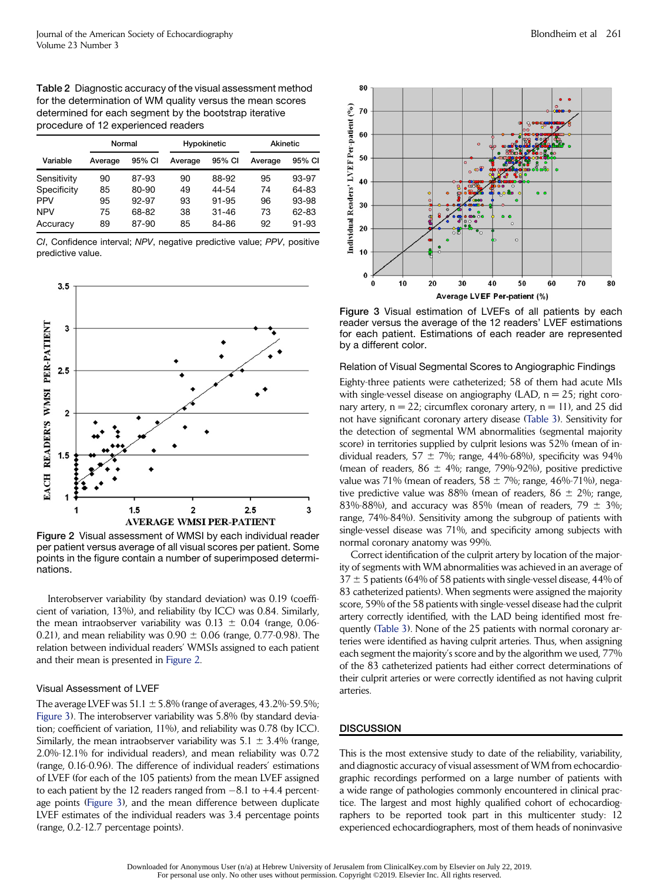<span id="page-3-0"></span>Table 2 Diagnostic accuracy of the visual assessment method for the determination of WM quality versus the mean scores determined for each segment by the bootstrap iterative procedure of 12 experienced readers

|             | Normal  |        | Hypokinetic |           | Akinetic |           |
|-------------|---------|--------|-------------|-----------|----------|-----------|
| Variable    | Average | 95% CI | Average     | 95% CI    | Average  | 95% CI    |
| Sensitivity | 90      | 87-93  | 90          | 88-92     | 95       | 93-97     |
| Specificity | 85      | 80-90  | 49          | 44-54     | 74       | 64-83     |
| <b>PPV</b>  | 95      | 92-97  | 93          | 91-95     | 96       | 93-98     |
| <b>NPV</b>  | 75      | 68-82  | 38          | $31 - 46$ | 73       | 62-83     |
| Accuracy    | 89      | 87-90  | 85          | 84-86     | 92       | $91 - 93$ |

*CI*, Confidence interval; *NPV*, negative predictive value; *PPV*, positive predictive value.





Interobserver variability (by standard deviation) was 0.19 (coefficient of variation, 13%), and reliability (by ICC) was 0.84. Similarly, the mean intraobserver variability was  $0.13 \pm 0.04$  (range, 0.06-0.21), and mean reliability was  $0.90 \pm 0.06$  (range, 0.77-0.98). The relation between individual readers' WMSIs assigned to each patient and their mean is presented in Figure 2.

### Visual Assessment of LVEF

The average LVEF was  $51.1 \pm 5.8\%$  (range of averages, 43.2%-59.5%; Figure 3). The interobserver variability was 5.8% (by standard deviation; coefficient of variation, 11%), and reliability was 0.78 (by ICC). Similarly, the mean intraobserver variability was  $5.1 \pm 3.4\%$  (range, 2.0%-12.1% for individual readers), and mean reliability was 0.72 (range, 0.16-0.96). The difference of individual readers' estimations of LVEF (for each of the 105 patients) from the mean LVEF assigned to each patient by the  $12$  readers ranged from  $-8.1$  to  $+4.4$  percentage points (Figure 3), and the mean difference between duplicate LVEF estimates of the individual readers was 3.4 percentage points (range, 0.2-12.7 percentage points).



Figure 3 Visual estimation of LVEFs of all patients by each reader versus the average of the 12 readers' LVEF estimations for each patient. Estimations of each reader are represented by a different color.

#### Relation of Visual Segmental Scores to Angiographic Findings

Eighty-three patients were catheterized; 58 of them had acute MIs with single-vessel disease on angiography  $(LAD, n = 25$ ; right coronary artery,  $n = 22$ ; circumflex coronary artery,  $n = 11$ ), and 25 did not have significant coronary artery disease ([Table 3\)](#page-4-0). Sensitivity for the detection of segmental WM abnormalities (segmental majority score) in territories supplied by culprit lesions was 52% (mean of individual readers, 57  $\pm$  7%; range, 44%-68%), specificity was 94% (mean of readers,  $86 \pm 4\%$ ; range, 79%-92%), positive predictive value was 71% (mean of readers,  $58 \pm 7$ %; range, 46%-71%), negative predictive value was 88% (mean of readers,  $86 \pm 2\%$ ; range, 83%-88%), and accuracy was 85% (mean of readers,  $79 \pm 3\%$ ; range, 74%-84%). Sensitivity among the subgroup of patients with single-vessel disease was 71%, and specificity among subjects with normal coronary anatomy was 99%.

Correct identification of the culprit artery by location of the majority of segments with WM abnormalities was achieved in an average of  $37 \pm 5$  patients (64% of 58 patients with single-vessel disease, 44% of 83 catheterized patients). When segments were assigned the majority score, 59% of the 58 patients with single-vessel disease had the culprit artery correctly identified, with the LAD being identified most frequently ([Table 3\)](#page-4-0). None of the 25 patients with normal coronary arteries were identified as having culprit arteries. Thus, when assigning each segment the majority's score and by the algorithm we used, 77% of the 83 catheterized patients had either correct determinations of their culprit arteries or were correctly identified as not having culprit arteries.

### DISCUSSION

This is the most extensive study to date of the reliability, variability, and diagnostic accuracy of visual assessment of WM from echocardiographic recordings performed on a large number of patients with a wide range of pathologies commonly encountered in clinical practice. The largest and most highly qualified cohort of echocardiographers to be reported took part in this multicenter study: 12 experienced echocardiographers, most of them heads of noninvasive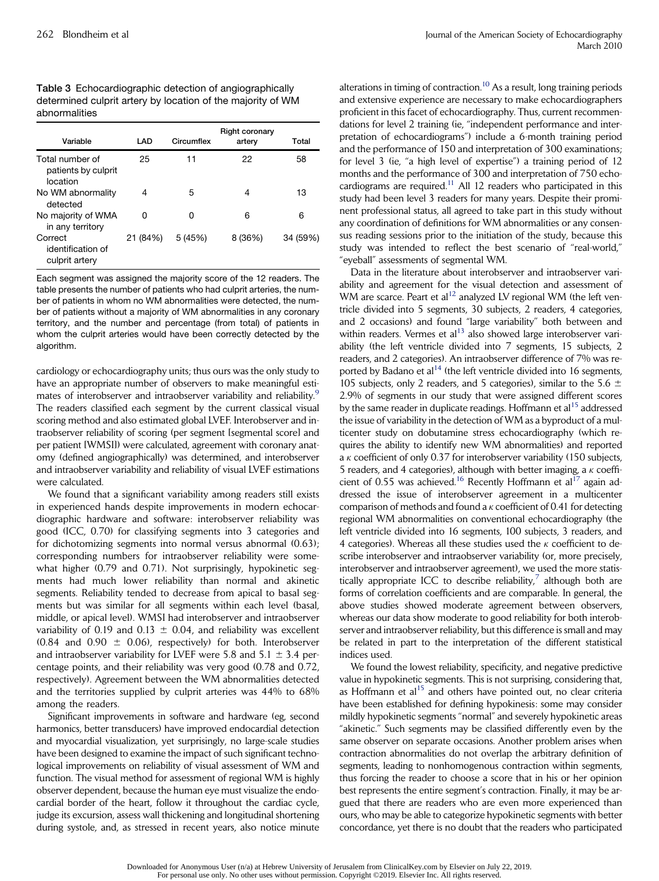| Journal of the American Society of Echocardiography |  |            |  |
|-----------------------------------------------------|--|------------|--|
|                                                     |  | March 2010 |  |

<span id="page-4-0"></span>

| <b>Table 3</b> Echocardiographic detection of angiographically |
|----------------------------------------------------------------|
| determined culprit artery by location of the majority of WM    |
| abnormalities                                                  |

| Variable                                           | LAD      | Circumflex | Right coronary<br>artery | Total    |
|----------------------------------------------------|----------|------------|--------------------------|----------|
| Total number of<br>patients by culprit<br>location | 25       | 11         | 22                       | 58       |
| No WM abnormality<br>detected                      | 4        | 5          | 4                        | 13       |
| No majority of WMA<br>in any territory             | O        | O          | 6                        | 6        |
| Correct<br>identification of<br>culprit artery     | 21 (84%) | 5 (45%)    | 8 (36%)                  | 34 (59%) |

Each segment was assigned the majority score of the 12 readers. The table presents the number of patients who had culprit arteries, the number of patients in whom no WM abnormalities were detected, the number of patients without a majority of WM abnormalities in any coronary territory, and the number and percentage (from total) of patients in whom the culprit arteries would have been correctly detected by the algorithm.

cardiology or echocardiography units; thus ours was the only study to have an appropriate number of observers to make meaningful esti-mates of interobserver and intraobserver variability and reliability.<sup>[9](#page-6-0)</sup> The readers classified each segment by the current classical visual scoring method and also estimated global LVEF. Interobserver and intraobserver reliability of scoring (per segment [segmental score] and per patient [WMSI]) were calculated, agreement with coronary anatomy (defined angiographically) was determined, and interobserver and intraobserver variability and reliability of visual LVEF estimations were calculated.

We found that a significant variability among readers still exists in experienced hands despite improvements in modern echocardiographic hardware and software: interobserver reliability was good (ICC, 0.70) for classifying segments into 3 categories and for dichotomizing segments into normal versus abnormal (0.63); corresponding numbers for intraobserver reliability were somewhat higher (0.79 and 0.71). Not surprisingly, hypokinetic segments had much lower reliability than normal and akinetic segments. Reliability tended to decrease from apical to basal segments but was similar for all segments within each level (basal, middle, or apical level). WMSI had interobserver and intraobserver variability of 0.19 and 0.13  $\pm$  0.04, and reliability was excellent  $(0.84$  and  $0.90 \pm 0.06$ ), respectively) for both. Interobserver and intraobserver variability for LVEF were 5.8 and 5.1  $\pm$  3.4 percentage points, and their reliability was very good (0.78 and 0.72, respectively). Agreement between the WM abnormalities detected and the territories supplied by culprit arteries was 44% to 68% among the readers.

Significant improvements in software and hardware (eg, second harmonics, better transducers) have improved endocardial detection and myocardial visualization, yet surprisingly, no large-scale studies have been designed to examine the impact of such significant technological improvements on reliability of visual assessment of WM and function. The visual method for assessment of regional WM is highly observer dependent, because the human eye must visualize the endocardial border of the heart, follow it throughout the cardiac cycle, judge its excursion, assess wall thickening and longitudinal shortening during systole, and, as stressed in recent years, also notice minute

alterations in timing of contraction.<sup>10</sup> As a result, long training periods and extensive experience are necessary to make echocardiographers proficient in this facet of echocardiography. Thus, current recommendations for level 2 training (ie, "independent performance and interpretation of echocardiograms'') include a 6-month training period and the performance of 150 and interpretation of 300 examinations; for level 3 (ie, "a high level of expertise") a training period of 12 months and the performance of 300 and interpretation of 750 echocardiograms are required. $11$  All 12 readers who participated in this study had been level 3 readers for many years. Despite their prominent professional status, all agreed to take part in this study without any coordination of definitions for WM abnormalities or any consensus reading sessions prior to the initiation of the study, because this study was intended to reflect the best scenario of "real-world," "eyeball" assessments of segmental WM.

Data in the literature about interobserver and intraobserver variability and agreement for the visual detection and assessment of WM are scarce. Peart et al<sup>12</sup> analyzed LV regional WM (the left ventricle divided into 5 segments, 30 subjects, 2 readers, 4 categories, and 2 occasions) and found ''large variability'' both between and within readers. Vermes et  $al<sup>13</sup>$  $al<sup>13</sup>$  $al<sup>13</sup>$  also showed large interobserver variability (the left ventricle divided into 7 segments, 15 subjects, 2 readers, and 2 categories). An intraobserver difference of 7% was re-ported by Badano et al<sup>[14](#page-6-0)</sup> (the left ventricle divided into 16 segments, 105 subjects, only 2 readers, and 5 categories), similar to the 5.6  $\pm$ 2.9% of segments in our study that were assigned different scores by the same reader in duplicate readings. Hoffmann et al<sup>[15](#page-6-0)</sup> addressed the issue of variability in the detection of WM as a byproduct of a multicenter study on dobutamine stress echocardiography (which requires the ability to identify new WM abnormalities) and reported  $a \kappa$  coefficient of only 0.37 for interobserver variability (150 subjects, 5 readers, and 4 categories), although with better imaging, a  $\kappa$  coefficient of 0.55 was achieved.<sup>16</sup> Recently Hoffmann et al<sup>17</sup> again addressed the issue of interobserver agreement in a multicenter comparison of methods and found a  $\kappa$  coefficient of 0.41 for detecting regional WM abnormalities on conventional echocardiography (the left ventricle divided into 16 segments, 100 subjects, 3 readers, and 4 categories). Whereas all these studies used the  $\kappa$  coefficient to describe interobserver and intraobserver variability (or, more precisely, interobserver and intraobserver agreement), we used the more statistically appropriate ICC to describe reliability, $^7$  $^7$  although both are forms of correlation coefficients and are comparable. In general, the above studies showed moderate agreement between observers, whereas our data show moderate to good reliability for both interobserver and intraobserver reliability, but this difference is small and may be related in part to the interpretation of the different statistical indices used.

We found the lowest reliability, specificity, and negative predictive value in hypokinetic segments. This is not surprising, considering that, as Hoffmann et al<sup>[15](#page-6-0)</sup> and others have pointed out, no clear criteria have been established for defining hypokinesis: some may consider mildly hypokinetic segments ''normal'' and severely hypokinetic areas "akinetic." Such segments may be classified differently even by the same observer on separate occasions. Another problem arises when contraction abnormalities do not overlap the arbitrary definition of segments, leading to nonhomogenous contraction within segments, thus forcing the reader to choose a score that in his or her opinion best represents the entire segment's contraction. Finally, it may be argued that there are readers who are even more experienced than ours, who may be able to categorize hypokinetic segments with better concordance, yet there is no doubt that the readers who participated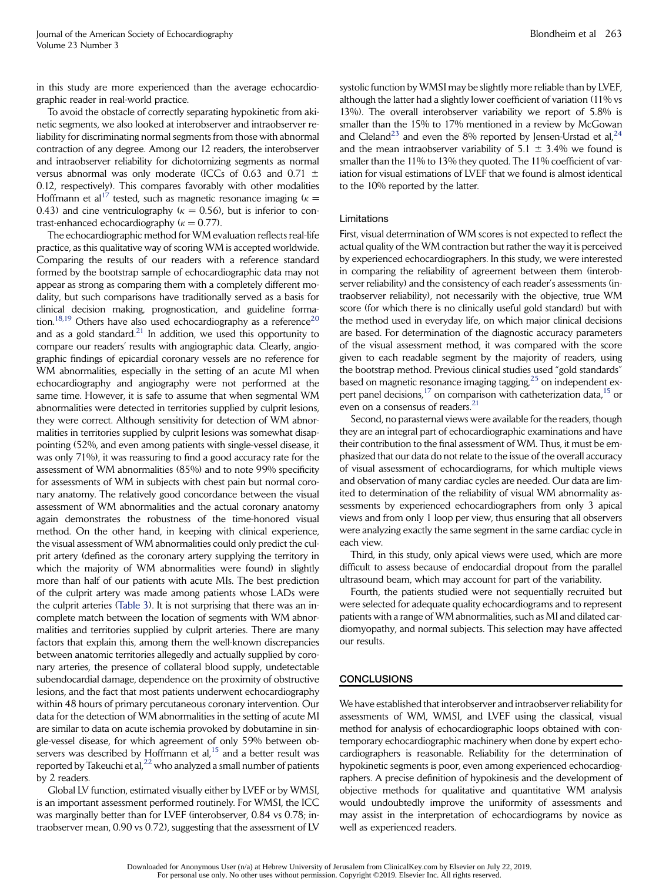in this study are more experienced than the average echocardiographic reader in real-world practice.

To avoid the obstacle of correctly separating hypokinetic from akinetic segments, we also looked at interobserver and intraobserver reliability for discriminating normal segments from those with abnormal contraction of any degree. Among our 12 readers, the interobserver and intraobserver reliability for dichotomizing segments as normal versus abnormal was only moderate (ICCs of 0.63 and 0.71  $\pm$ 0.12, respectively). This compares favorably with other modalities Hoffmann et al<sup>[17](#page-6-0)</sup> tested, such as magnetic resonance imaging  $(k =$ 0.43) and cine ventriculography ( $\kappa = 0.56$ ), but is inferior to contrast-enhanced echocardiography  $(k = 0.77)$ .

The echocardiographic method for WM evaluation reflects real-life practice, as this qualitative way of scoring WM is accepted worldwide. Comparing the results of our readers with a reference standard formed by the bootstrap sample of echocardiographic data may not appear as strong as comparing them with a completely different modality, but such comparisons have traditionally served as a basis for clinical decision making, prognostication, and guideline forma-tion.<sup>[18,19](#page-6-0)</sup> Others have also used echocardiography as a reference<sup>[20](#page-6-0)</sup> and as a gold standard.<sup>[21](#page-6-0)</sup> In addition, we used this opportunity to compare our readers' results with angiographic data. Clearly, angiographic findings of epicardial coronary vessels are no reference for WM abnormalities, especially in the setting of an acute MI when echocardiography and angiography were not performed at the same time. However, it is safe to assume that when segmental WM abnormalities were detected in territories supplied by culprit lesions, they were correct. Although sensitivity for detection of WM abnormalities in territories supplied by culprit lesions was somewhat disappointing (52%, and even among patients with single-vessel disease, it was only 71%), it was reassuring to find a good accuracy rate for the assessment of WM abnormalities (85%) and to note 99% specificity for assessments of WM in subjects with chest pain but normal coronary anatomy. The relatively good concordance between the visual assessment of WM abnormalities and the actual coronary anatomy again demonstrates the robustness of the time-honored visual method. On the other hand, in keeping with clinical experience, the visual assessment of WM abnormalities could only predict the culprit artery (defined as the coronary artery supplying the territory in which the majority of WM abnormalities were found) in slightly more than half of our patients with acute MIs. The best prediction of the culprit artery was made among patients whose LADs were the culprit arteries ([Table 3](#page-4-0)). It is not surprising that there was an incomplete match between the location of segments with WM abnormalities and territories supplied by culprit arteries. There are many factors that explain this, among them the well-known discrepancies between anatomic territories allegedly and actually supplied by coronary arteries, the presence of collateral blood supply, undetectable subendocardial damage, dependence on the proximity of obstructive lesions, and the fact that most patients underwent echocardiography within 48 hours of primary percutaneous coronary intervention. Our data for the detection of WM abnormalities in the setting of acute MI are similar to data on acute ischemia provoked by dobutamine in single-vessel disease, for which agreement of only 59% between observers was described by Hoffmann et  $al$ ,<sup>[15](#page-6-0)</sup> and a better result was reported by Takeuchi et al, $^{22}$  $^{22}$  $^{22}$  who analyzed a small number of patients by 2 readers.

Global LV function, estimated visually either by LVEF or by WMSI, is an important assessment performed routinely. For WMSI, the ICC was marginally better than for LVEF (interobserver, 0.84 vs 0.78; intraobserver mean, 0.90 vs 0.72), suggesting that the assessment of LV

systolic function by WMSI may be slightly more reliable than by LVEF, although the latter had a slightly lower coefficient of variation (11% vs 13%). The overall interobserver variability we report of 5.8% is smaller than the 15% to 17% mentioned in a review by McGowan and Cleland<sup>[23](#page-6-0)</sup> and even the 8% reported by Jensen-Urstad et al,<sup>[24](#page-6-0)</sup> and the mean intraobserver variability of  $5.1 \pm 3.4\%$  we found is smaller than the 11% to 13% they quoted. The 11% coefficient of variation for visual estimations of LVEF that we found is almost identical to the 10% reported by the latter.

#### Limitations

First, visual determination of WM scores is not expected to reflect the actual quality of the WM contraction but rather the way it is perceived by experienced echocardiographers. In this study, we were interested in comparing the reliability of agreement between them (interobserver reliability) and the consistency of each reader's assessments (intraobserver reliability), not necessarily with the objective, true WM score (for which there is no clinically useful gold standard) but with the method used in everyday life, on which major clinical decisions are based. For determination of the diagnostic accuracy parameters of the visual assessment method, it was compared with the score given to each readable segment by the majority of readers, using the bootstrap method. Previous clinical studies used ''gold standards'' based on magnetic resonance imaging tagging,<sup>[25](#page-6-0)</sup> on independent expert panel decisions,<sup>17</sup> on comparison with catheterization data,<sup>15</sup> or even on a consensus of readers.<sup>[21](#page-6-0)</sup>

Second, no parasternal views were available for the readers, though they are an integral part of echocardiographic examinations and have their contribution to the final assessment of WM. Thus, it must be emphasized that our data do not relate to the issue of the overall accuracy of visual assessment of echocardiograms, for which multiple views and observation of many cardiac cycles are needed. Our data are limited to determination of the reliability of visual WM abnormality assessments by experienced echocardiographers from only 3 apical views and from only 1 loop per view, thus ensuring that all observers were analyzing exactly the same segment in the same cardiac cycle in each view.

Third, in this study, only apical views were used, which are more difficult to assess because of endocardial dropout from the parallel ultrasound beam, which may account for part of the variability.

Fourth, the patients studied were not sequentially recruited but were selected for adequate quality echocardiograms and to represent patients with a range of WM abnormalities, such as MI and dilated cardiomyopathy, and normal subjects. This selection may have affected our results.

#### **CONCLUSIONS**

We have established that interobserver and intraobserver reliability for assessments of WM, WMSI, and LVEF using the classical, visual method for analysis of echocardiographic loops obtained with contemporary echocardiographic machinery when done by expert echocardiographers is reasonable. Reliability for the determination of hypokinetic segments is poor, even among experienced echocardiographers. A precise definition of hypokinesis and the development of objective methods for qualitative and quantitative WM analysis would undoubtedly improve the uniformity of assessments and may assist in the interpretation of echocardiograms by novice as well as experienced readers.